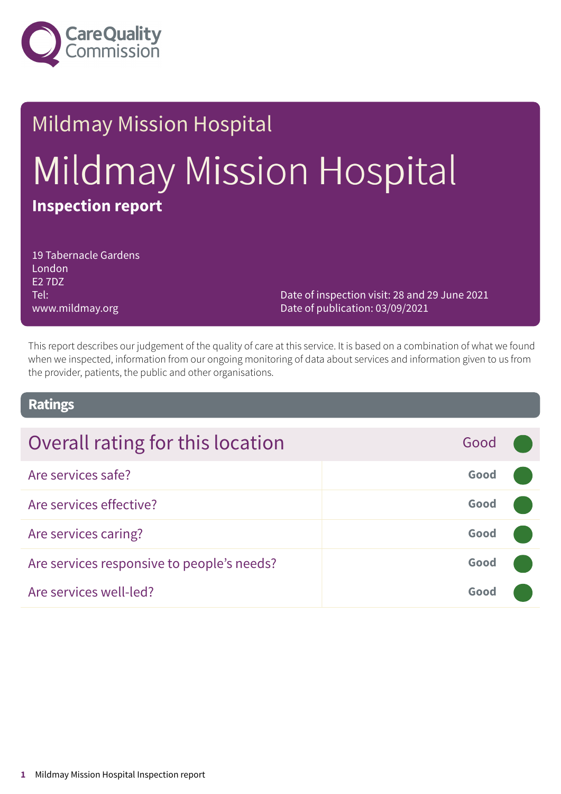

# Mildmay Mission Hospital Mildmay Mission Hospital **Inspection report**

19 Tabernacle Gardens London E2 7DZ Tel: www.mildmay.org

Date of inspection visit: 28 and 29 June 2021 Date of publication: 03/09/2021

This report describes our judgement of the quality of care at this service. It is based on a combination of what we found when we inspected, information from our ongoing monitoring of data about services and information given to us from the provider, patients, the public and other organisations.

### **Ratings**

| Overall rating for this location           | Good |  |
|--------------------------------------------|------|--|
| Are services safe?                         | Good |  |
| Are services effective?                    | Good |  |
| Are services caring?                       | Good |  |
| Are services responsive to people's needs? | Good |  |
| Are services well-led?                     | Good |  |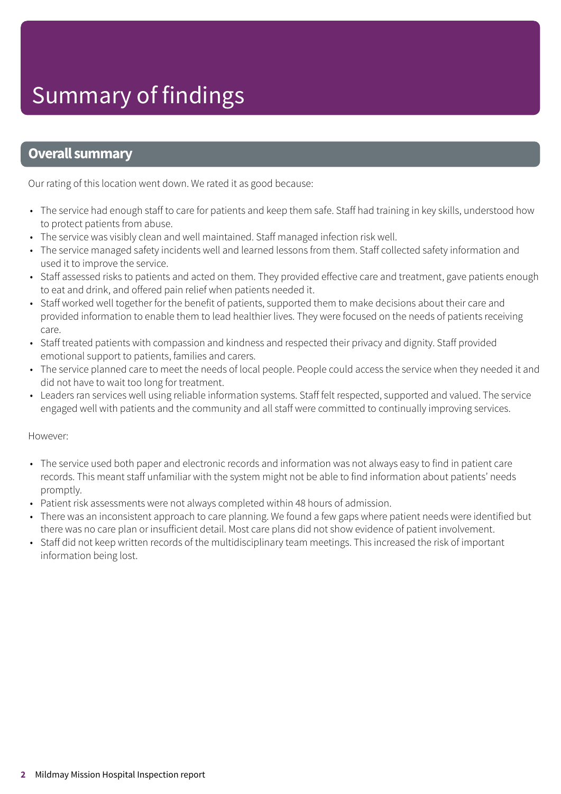### **Overall summary**

Our rating of this location went down. We rated it as good because:

- The service had enough staff to care for patients and keep them safe. Staff had training in key skills, understood how to protect patients from abuse.
- The service was visibly clean and well maintained. Staff managed infection risk well.
- The service managed safety incidents well and learned lessons from them. Staff collected safety information and used it to improve the service.
- Staff assessed risks to patients and acted on them. They provided effective care and treatment, gave patients enough to eat and drink, and offered pain relief when patients needed it.
- Staff worked well together for the benefit of patients, supported them to make decisions about their care and provided information to enable them to lead healthier lives. They were focused on the needs of patients receiving care.
- Staff treated patients with compassion and kindness and respected their privacy and dignity. Staff provided emotional support to patients, families and carers.
- The service planned care to meet the needs of local people. People could access the service when they needed it and did not have to wait too long for treatment.
- Leaders ran services well using reliable information systems. Staff felt respected, supported and valued. The service engaged well with patients and the community and all staff were committed to continually improving services.

#### However:

- The service used both paper and electronic records and information was not always easy to find in patient care records. This meant staff unfamiliar with the system might not be able to find information about patients' needs promptly.
- Patient risk assessments were not always completed within 48 hours of admission.
- There was an inconsistent approach to care planning. We found a few gaps where patient needs were identified but there was no care plan or insufficient detail. Most care plans did not show evidence of patient involvement.
- Staff did not keep written records of the multidisciplinary team meetings. This increased the risk of important information being lost.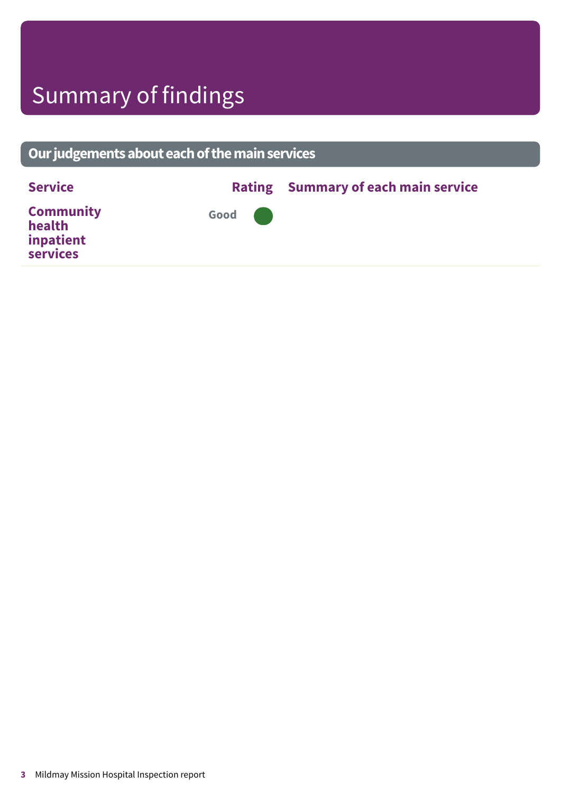## Summary of findings

### **Ourjudgementsabouteachofthemainservices Service Rating Summary of each main service Community health inpatient services Good –––**

**3** Mildmay Mission Hospital Inspection report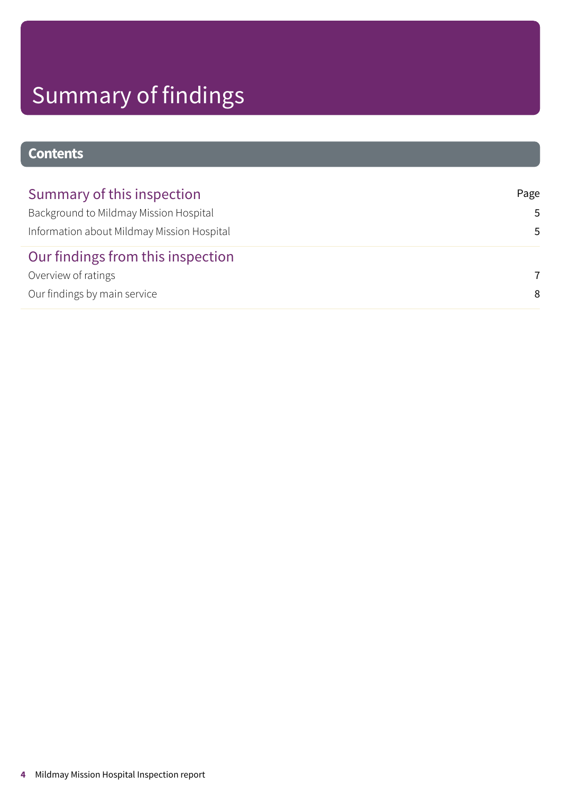# Summary of findings

### **Contents**

| Summary of this inspection                 | Page |
|--------------------------------------------|------|
| Background to Mildmay Mission Hospital     | .5   |
| Information about Mildmay Mission Hospital | .5.  |
| Our findings from this inspection          |      |
| Overview of ratings                        | 7    |
| Our findings by main service               | 8    |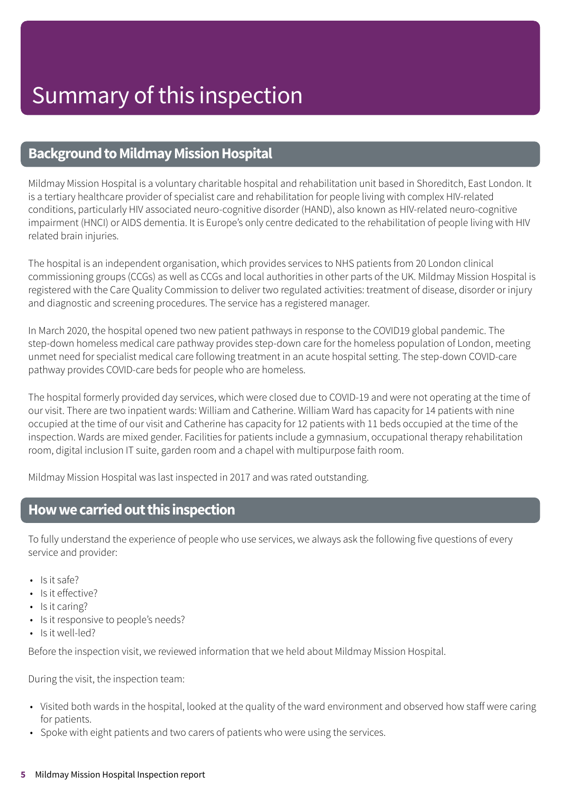### <span id="page-4-0"></span>**Background to Mildmay Mission Hospital**

Mildmay Mission Hospital is a voluntary charitable hospital and rehabilitation unit based in Shoreditch, East London. It is a tertiary healthcare provider of specialist care and rehabilitation for people living with complex HIV-related conditions, particularly HIV associated neuro-cognitive disorder (HAND), also known as HIV-related neuro-cognitive impairment (HNCI) or AIDS dementia. It is Europe's only centre dedicated to the rehabilitation of people living with HIV related brain injuries.

The hospital is an independent organisation, which provides services to NHS patients from 20 London clinical commissioning groups (CCGs) as well as CCGs and local authorities in other parts of the UK. Mildmay Mission Hospital is registered with the Care Quality Commission to deliver two regulated activities: treatment of disease, disorder or injury and diagnostic and screening procedures. The service has a registered manager.

In March 2020, the hospital opened two new patient pathways in response to the COVID19 global pandemic. The step-down homeless medical care pathway provides step-down care for the homeless population of London, meeting unmet need for specialist medical care following treatment in an acute hospital setting. The step-down COVID-care pathway provides COVID-care beds for people who are homeless.

The hospital formerly provided day services, which were closed due to COVID-19 and were not operating at the time of our visit. There are two inpatient wards: William and Catherine. William Ward has capacity for 14 patients with nine occupied at the time of our visit and Catherine has capacity for 12 patients with 11 beds occupied at the time of the inspection. Wards are mixed gender. Facilities for patients include a gymnasium, occupational therapy rehabilitation room, digital inclusion IT suite, garden room and a chapel with multipurpose faith room.

Mildmay Mission Hospital was last inspected in 2017 and was rated outstanding.

### <span id="page-4-1"></span>**Howwecarriedoutthis inspection**

To fully understand the experience of people who use services, we always ask the following five questions of every service and provider:

- Is it safe?
- Is it effective?
- Is it caring?
- Is it responsive to people's needs?
- Is it well-led?

Before the inspection visit, we reviewed information that we held about Mildmay Mission Hospital.

During the visit, the inspection team:

- Visited both wards in the hospital, looked at the quality of the ward environment and observed how staff were caring for patients.
- Spoke with eight patients and two carers of patients who were using the services.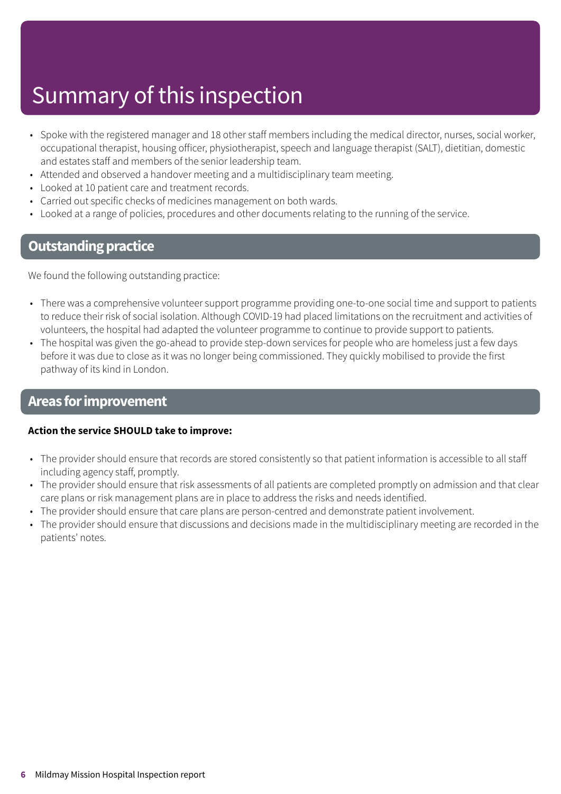## Summary of this inspection

- Spoke with the registered manager and 18 other staff members including the medical director, nurses, social worker, occupational therapist, housing officer, physiotherapist, speech and language therapist (SALT), dietitian, domestic and estates staff and members of the senior leadership team.
- Attended and observed a handover meeting and a multidisciplinary team meeting.
- Looked at 10 patient care and treatment records.
- Carried out specific checks of medicines management on both wards.
- Looked at a range of policies, procedures and other documents relating to the running of the service.

### **Outstanding practice**

We found the following outstanding practice:

- There was a comprehensive volunteer support programme providing one-to-one social time and support to patients to reduce their risk of social isolation. Although COVID-19 had placed limitations on the recruitment and activities of volunteers, the hospital had adapted the volunteer programme to continue to provide support to patients.
- The hospital was given the go-ahead to provide step-down services for people who are homeless just a few days before it was due to close as it was no longer being commissioned. They quickly mobilised to provide the first pathway of its kind in London.

### **Areas forimprovement**

#### **Action the service SHOULD take to improve:**

- The provider should ensure that records are stored consistently so that patient information is accessible to all staff including agency staff, promptly.
- The provider should ensure that risk assessments of all patients are completed promptly on admission and that clear care plans or risk management plans are in place to address the risks and needs identified.
- The provider should ensure that care plans are person-centred and demonstrate patient involvement.
- The provider should ensure that discussions and decisions made in the multidisciplinary meeting are recorded in the patients' notes.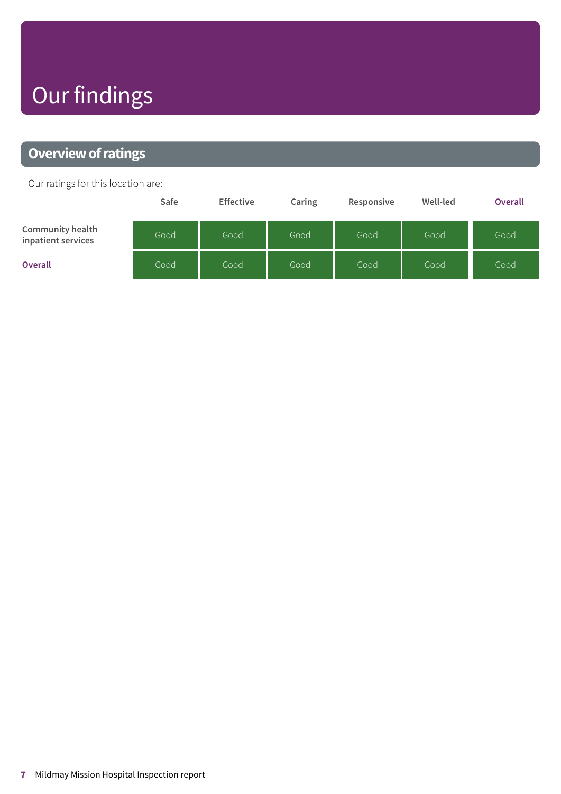## Our findings

### <span id="page-6-0"></span>**Overview of ratings**

Our ratings for this location are:

|                                               | Safe | <b>Effective</b> | Caring | Responsive | Well-led | <b>Overall</b> |
|-----------------------------------------------|------|------------------|--------|------------|----------|----------------|
| <b>Community health</b><br>inpatient services | Good | Good             | Good   | Good       | Good     | Good           |
| <b>Overall</b>                                | Good | Good             | Good   | Good       | Good     | Good           |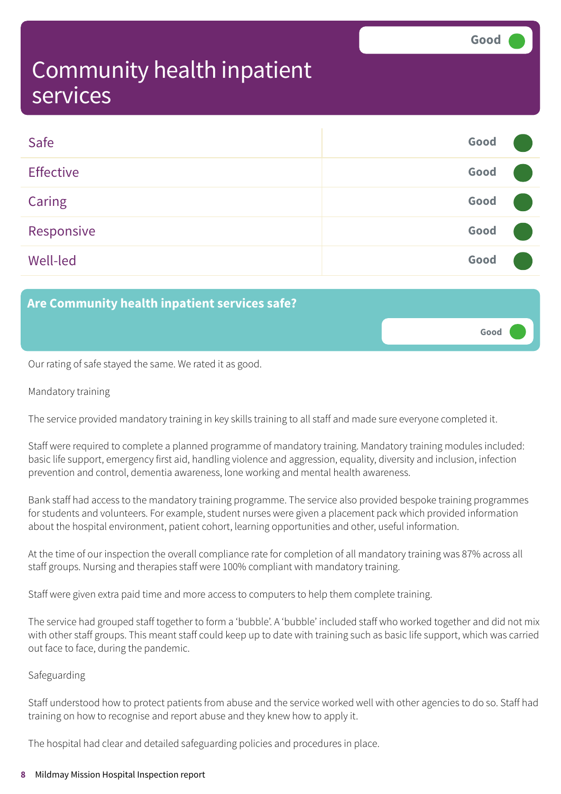**Good –––**

### <span id="page-7-0"></span>Community health inpatient services

| Safe             | Good |  |
|------------------|------|--|
| <b>Effective</b> | Good |  |
| Caring           | Good |  |
| Responsive       | Good |  |
| <b>Well-led</b>  | Good |  |

### **Are Community health inpatient services safe?**

Our rating of safe stayed the same. We rated it as good.

#### Mandatory training

The service provided mandatory training in key skills training to all staff and made sure everyone completed it.

Staff were required to complete a planned programme of mandatory training. Mandatory training modules included: basic life support, emergency first aid, handling violence and aggression, equality, diversity and inclusion, infection prevention and control, dementia awareness, lone working and mental health awareness.

Bank staff had access to the mandatory training programme. The service also provided bespoke training programmes for students and volunteers. For example, student nurses were given a placement pack which provided information about the hospital environment, patient cohort, learning opportunities and other, useful information.

At the time of our inspection the overall compliance rate for completion of all mandatory training was 87% across all staff groups. Nursing and therapies staff were 100% compliant with mandatory training.

Staff were given extra paid time and more access to computers to help them complete training.

The service had grouped staff together to form a 'bubble'. A 'bubble' included staff who worked together and did not mix with other staff groups. This meant staff could keep up to date with training such as basic life support, which was carried out face to face, during the pandemic.

#### Safeguarding

Staff understood how to protect patients from abuse and the service worked well with other agencies to do so. Staff had training on how to recognise and report abuse and they knew how to apply it.

The hospital had clear and detailed safeguarding policies and procedures in place.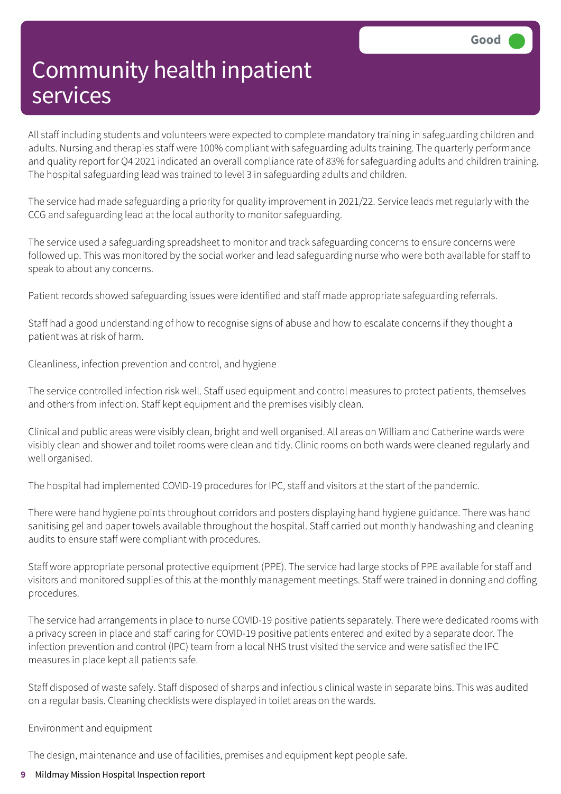All staff including students and volunteers were expected to complete mandatory training in safeguarding children and adults. Nursing and therapies staff were 100% compliant with safeguarding adults training. The quarterly performance and quality report for Q4 2021 indicated an overall compliance rate of 83% for safeguarding adults and children training. The hospital safeguarding lead was trained to level 3 in safeguarding adults and children.

The service had made safeguarding a priority for quality improvement in 2021/22. Service leads met regularly with the CCG and safeguarding lead at the local authority to monitor safeguarding.

The service used a safeguarding spreadsheet to monitor and track safeguarding concerns to ensure concerns were followed up. This was monitored by the social worker and lead safeguarding nurse who were both available for staff to speak to about any concerns.

Patient records showed safeguarding issues were identified and staff made appropriate safeguarding referrals.

Staff had a good understanding of how to recognise signs of abuse and how to escalate concerns if they thought a patient was at risk of harm.

Cleanliness, infection prevention and control, and hygiene

The service controlled infection risk well. Staff used equipment and control measures to protect patients, themselves and others from infection. Staff kept equipment and the premises visibly clean.

Clinical and public areas were visibly clean, bright and well organised. All areas on William and Catherine wards were visibly clean and shower and toilet rooms were clean and tidy. Clinic rooms on both wards were cleaned regularly and well organised.

The hospital had implemented COVID-19 procedures for IPC, staff and visitors at the start of the pandemic.

There were hand hygiene points throughout corridors and posters displaying hand hygiene guidance. There was hand sanitising gel and paper towels available throughout the hospital. Staff carried out monthly handwashing and cleaning audits to ensure staff were compliant with procedures.

Staff wore appropriate personal protective equipment (PPE). The service had large stocks of PPE available for staff and visitors and monitored supplies of this at the monthly management meetings. Staff were trained in donning and doffing procedures.

The service had arrangements in place to nurse COVID-19 positive patients separately. There were dedicated rooms with a privacy screen in place and staff caring for COVID-19 positive patients entered and exited by a separate door. The infection prevention and control (IPC) team from a local NHS trust visited the service and were satisfied the IPC measures in place kept all patients safe.

Staff disposed of waste safely. Staff disposed of sharps and infectious clinical waste in separate bins. This was audited on a regular basis. Cleaning checklists were displayed in toilet areas on the wards.

Environment and equipment

The design, maintenance and use of facilities, premises and equipment kept people safe.

#### **9** Mildmay Mission Hospital Inspection report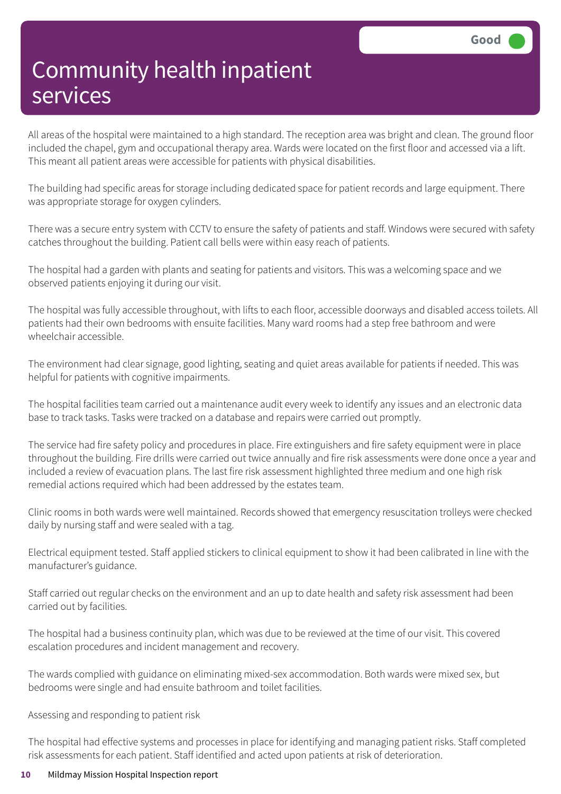All areas of the hospital were maintained to a high standard. The reception area was bright and clean. The ground floor included the chapel, gym and occupational therapy area. Wards were located on the first floor and accessed via a lift. This meant all patient areas were accessible for patients with physical disabilities.

The building had specific areas for storage including dedicated space for patient records and large equipment. There was appropriate storage for oxygen cylinders.

There was a secure entry system with CCTV to ensure the safety of patients and staff. Windows were secured with safety catches throughout the building. Patient call bells were within easy reach of patients.

The hospital had a garden with plants and seating for patients and visitors. This was a welcoming space and we observed patients enjoying it during our visit.

The hospital was fully accessible throughout, with lifts to each floor, accessible doorways and disabled access toilets. All patients had their own bedrooms with ensuite facilities. Many ward rooms had a step free bathroom and were wheelchair accessible.

The environment had clear signage, good lighting, seating and quiet areas available for patients if needed. This was helpful for patients with cognitive impairments.

The hospital facilities team carried out a maintenance audit every week to identify any issues and an electronic data base to track tasks. Tasks were tracked on a database and repairs were carried out promptly.

The service had fire safety policy and procedures in place. Fire extinguishers and fire safety equipment were in place throughout the building. Fire drills were carried out twice annually and fire risk assessments were done once a year and included a review of evacuation plans. The last fire risk assessment highlighted three medium and one high risk remedial actions required which had been addressed by the estates team.

Clinic rooms in both wards were well maintained. Records showed that emergency resuscitation trolleys were checked daily by nursing staff and were sealed with a tag.

Electrical equipment tested. Staff applied stickers to clinical equipment to show it had been calibrated in line with the manufacturer's guidance.

Staff carried out regular checks on the environment and an up to date health and safety risk assessment had been carried out by facilities.

The hospital had a business continuity plan, which was due to be reviewed at the time of our visit. This covered escalation procedures and incident management and recovery.

The wards complied with guidance on eliminating mixed-sex accommodation. Both wards were mixed sex, but bedrooms were single and had ensuite bathroom and toilet facilities.

Assessing and responding to patient risk

The hospital had effective systems and processes in place for identifying and managing patient risks. Staff completed risk assessments for each patient. Staff identified and acted upon patients at risk of deterioration.

#### **10** Mildmay Mission Hospital Inspection report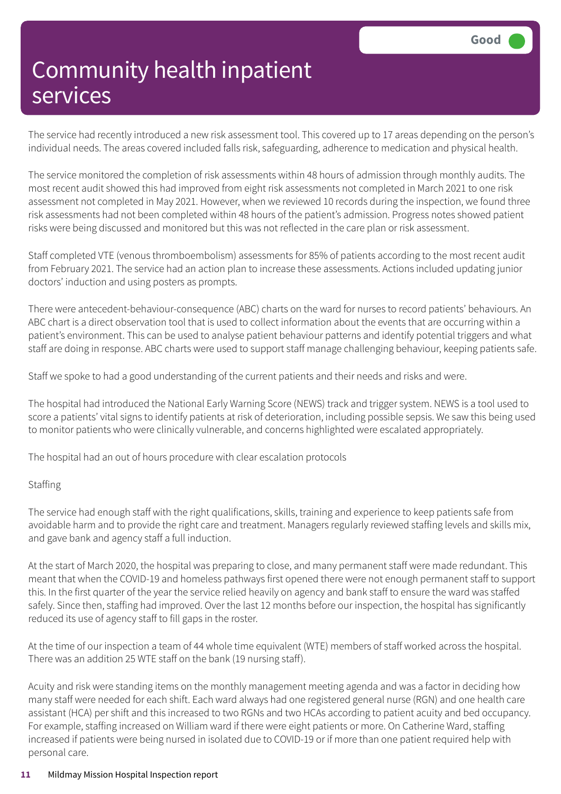The service had recently introduced a new risk assessment tool. This covered up to 17 areas depending on the person's individual needs. The areas covered included falls risk, safeguarding, adherence to medication and physical health.

The service monitored the completion of risk assessments within 48 hours of admission through monthly audits. The most recent audit showed this had improved from eight risk assessments not completed in March 2021 to one risk assessment not completed in May 2021. However, when we reviewed 10 records during the inspection, we found three risk assessments had not been completed within 48 hours of the patient's admission. Progress notes showed patient risks were being discussed and monitored but this was not reflected in the care plan or risk assessment.

Staff completed VTE (venous thromboembolism) assessments for 85% of patients according to the most recent audit from February 2021. The service had an action plan to increase these assessments. Actions included updating junior doctors' induction and using posters as prompts.

There were antecedent-behaviour-consequence (ABC) charts on the ward for nurses to record patients' behaviours. An ABC chart is a direct observation tool that is used to collect information about the events that are occurring within a patient's environment. This can be used to analyse patient behaviour patterns and identify potential triggers and what staff are doing in response. ABC charts were used to support staff manage challenging behaviour, keeping patients safe.

Staff we spoke to had a good understanding of the current patients and their needs and risks and were.

The hospital had introduced the National Early Warning Score (NEWS) track and trigger system. NEWS is a tool used to score a patients' vital signs to identify patients at risk of deterioration, including possible sepsis. We saw this being used to monitor patients who were clinically vulnerable, and concerns highlighted were escalated appropriately.

The hospital had an out of hours procedure with clear escalation protocols

#### **Staffing**

The service had enough staff with the right qualifications, skills, training and experience to keep patients safe from avoidable harm and to provide the right care and treatment. Managers regularly reviewed staffing levels and skills mix, and gave bank and agency staff a full induction.

At the start of March 2020, the hospital was preparing to close, and many permanent staff were made redundant. This meant that when the COVID-19 and homeless pathways first opened there were not enough permanent staff to support this. In the first quarter of the year the service relied heavily on agency and bank staff to ensure the ward was staffed safely. Since then, staffing had improved. Over the last 12 months before our inspection, the hospital has significantly reduced its use of agency staff to fill gaps in the roster.

At the time of our inspection a team of 44 whole time equivalent (WTE) members of staff worked across the hospital. There was an addition 25 WTE staff on the bank (19 nursing staff).

Acuity and risk were standing items on the monthly management meeting agenda and was a factor in deciding how many staff were needed for each shift. Each ward always had one registered general nurse (RGN) and one health care assistant (HCA) per shift and this increased to two RGNs and two HCAs according to patient acuity and bed occupancy. For example, staffing increased on William ward if there were eight patients or more. On Catherine Ward, staffing increased if patients were being nursed in isolated due to COVID-19 or if more than one patient required help with personal care.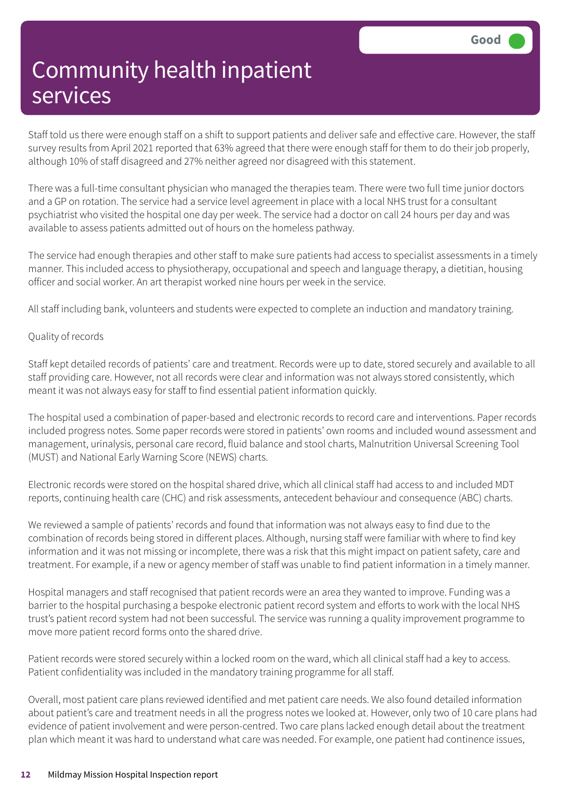Staff told us there were enough staff on a shift to support patients and deliver safe and effective care. However, the staff survey results from April 2021 reported that 63% agreed that there were enough staff for them to do their job properly, although 10% of staff disagreed and 27% neither agreed nor disagreed with this statement.

There was a full-time consultant physician who managed the therapies team. There were two full time junior doctors and a GP on rotation. The service had a service level agreement in place with a local NHS trust for a consultant psychiatrist who visited the hospital one day per week. The service had a doctor on call 24 hours per day and was available to assess patients admitted out of hours on the homeless pathway.

The service had enough therapies and other staff to make sure patients had access to specialist assessments in a timely manner. This included access to physiotherapy, occupational and speech and language therapy, a dietitian, housing officer and social worker. An art therapist worked nine hours per week in the service.

All staff including bank, volunteers and students were expected to complete an induction and mandatory training.

#### Quality of records

Staff kept detailed records of patients' care and treatment. Records were up to date, stored securely and available to all staff providing care. However, not all records were clear and information was not always stored consistently, which meant it was not always easy for staff to find essential patient information quickly.

The hospital used a combination of paper-based and electronic records to record care and interventions. Paper records included progress notes. Some paper records were stored in patients' own rooms and included wound assessment and management, urinalysis, personal care record, fluid balance and stool charts, Malnutrition Universal Screening Tool (MUST) and National Early Warning Score (NEWS) charts.

Electronic records were stored on the hospital shared drive, which all clinical staff had access to and included MDT reports, continuing health care (CHC) and risk assessments, antecedent behaviour and consequence (ABC) charts.

We reviewed a sample of patients' records and found that information was not always easy to find due to the combination of records being stored in different places. Although, nursing staff were familiar with where to find key information and it was not missing or incomplete, there was a risk that this might impact on patient safety, care and treatment. For example, if a new or agency member of staff was unable to find patient information in a timely manner.

Hospital managers and staff recognised that patient records were an area they wanted to improve. Funding was a barrier to the hospital purchasing a bespoke electronic patient record system and efforts to work with the local NHS trust's patient record system had not been successful. The service was running a quality improvement programme to move more patient record forms onto the shared drive.

Patient records were stored securely within a locked room on the ward, which all clinical staff had a key to access. Patient confidentiality was included in the mandatory training programme for all staff.

Overall, most patient care plans reviewed identified and met patient care needs. We also found detailed information about patient's care and treatment needs in all the progress notes we looked at. However, only two of 10 care plans had evidence of patient involvement and were person-centred. Two care plans lacked enough detail about the treatment plan which meant it was hard to understand what care was needed. For example, one patient had continence issues,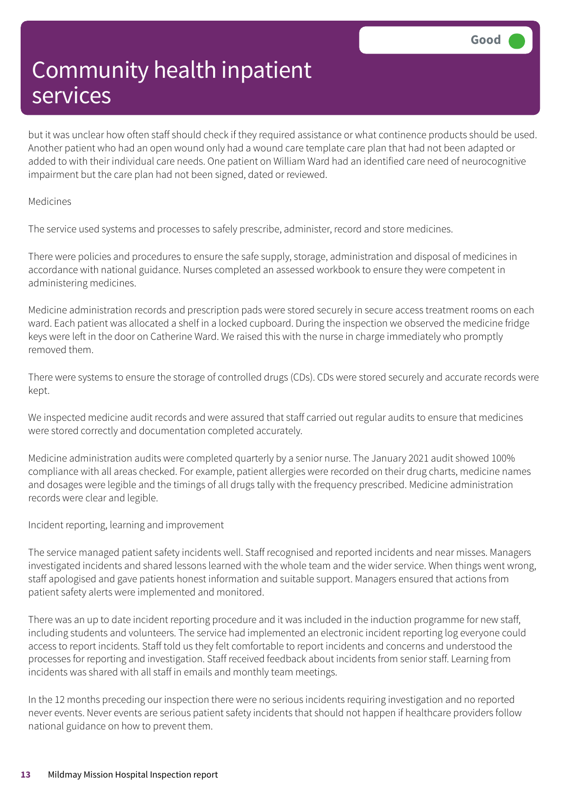but it was unclear how often staff should check if they required assistance or what continence products should be used. Another patient who had an open wound only had a wound care template care plan that had not been adapted or added to with their individual care needs. One patient on William Ward had an identified care need of neurocognitive impairment but the care plan had not been signed, dated or reviewed.

#### Medicines

The service used systems and processes to safely prescribe, administer, record and store medicines.

There were policies and procedures to ensure the safe supply, storage, administration and disposal of medicines in accordance with national guidance. Nurses completed an assessed workbook to ensure they were competent in administering medicines.

Medicine administration records and prescription pads were stored securely in secure access treatment rooms on each ward. Each patient was allocated a shelf in a locked cupboard. During the inspection we observed the medicine fridge keys were left in the door on Catherine Ward. We raised this with the nurse in charge immediately who promptly removed them.

There were systems to ensure the storage of controlled drugs (CDs). CDs were stored securely and accurate records were kept.

We inspected medicine audit records and were assured that staff carried out regular audits to ensure that medicines were stored correctly and documentation completed accurately.

Medicine administration audits were completed quarterly by a senior nurse. The January 2021 audit showed 100% compliance with all areas checked. For example, patient allergies were recorded on their drug charts, medicine names and dosages were legible and the timings of all drugs tally with the frequency prescribed. Medicine administration records were clear and legible.

Incident reporting, learning and improvement

The service managed patient safety incidents well. Staff recognised and reported incidents and near misses. Managers investigated incidents and shared lessons learned with the whole team and the wider service. When things went wrong, staff apologised and gave patients honest information and suitable support. Managers ensured that actions from patient safety alerts were implemented and monitored.

There was an up to date incident reporting procedure and it was included in the induction programme for new staff, including students and volunteers. The service had implemented an electronic incident reporting log everyone could access to report incidents. Staff told us they felt comfortable to report incidents and concerns and understood the processes for reporting and investigation. Staff received feedback about incidents from senior staff. Learning from incidents was shared with all staff in emails and monthly team meetings.

In the 12 months preceding our inspection there were no serious incidents requiring investigation and no reported never events. Never events are serious patient safety incidents that should not happen if healthcare providers follow national guidance on how to prevent them.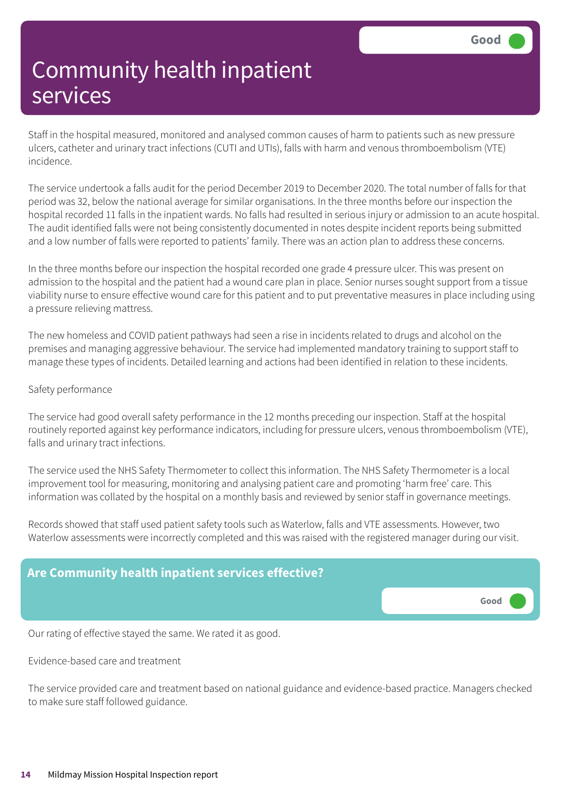Staff in the hospital measured, monitored and analysed common causes of harm to patients such as new pressure ulcers, catheter and urinary tract infections (CUTI and UTIs), falls with harm and venous thromboembolism (VTE) incidence.

The service undertook a falls audit for the period December 2019 to December 2020. The total number of falls for that period was 32, below the national average for similar organisations. In the three months before our inspection the hospital recorded 11 falls in the inpatient wards. No falls had resulted in serious injury or admission to an acute hospital. The audit identified falls were not being consistently documented in notes despite incident reports being submitted and a low number of falls were reported to patients' family. There was an action plan to address these concerns.

In the three months before our inspection the hospital recorded one grade 4 pressure ulcer. This was present on admission to the hospital and the patient had a wound care plan in place. Senior nurses sought support from a tissue viability nurse to ensure effective wound care for this patient and to put preventative measures in place including using a pressure relieving mattress.

The new homeless and COVID patient pathways had seen a rise in incidents related to drugs and alcohol on the premises and managing aggressive behaviour. The service had implemented mandatory training to support staff to manage these types of incidents. Detailed learning and actions had been identified in relation to these incidents.

#### Safety performance

The service had good overall safety performance in the 12 months preceding our inspection. Staff at the hospital routinely reported against key performance indicators, including for pressure ulcers, venous thromboembolism (VTE), falls and urinary tract infections.

The service used the NHS Safety Thermometer to collect this information. The NHS Safety Thermometer is a local improvement tool for measuring, monitoring and analysing patient care and promoting 'harm free' care. This information was collated by the hospital on a monthly basis and reviewed by senior staff in governance meetings.

Records showed that staff used patient safety tools such as Waterlow, falls and VTE assessments. However, two Waterlow assessments were incorrectly completed and this was raised with the registered manager during our visit.



Our rating of effective stayed the same. We rated it as good.

Evidence-based care and treatment

The service provided care and treatment based on national guidance and evidence-based practice. Managers checked to make sure staff followed guidance.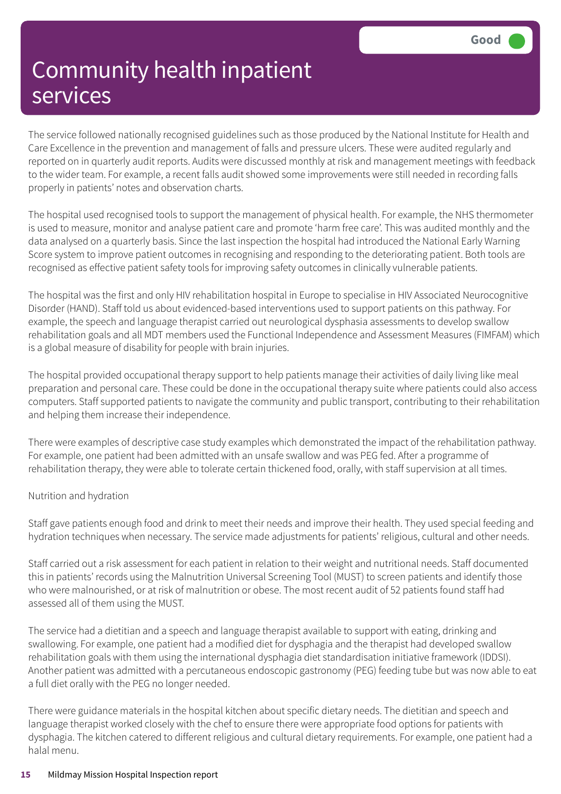The service followed nationally recognised guidelines such as those produced by the National Institute for Health and Care Excellence in the prevention and management of falls and pressure ulcers. These were audited regularly and reported on in quarterly audit reports. Audits were discussed monthly at risk and management meetings with feedback to the wider team. For example, a recent falls audit showed some improvements were still needed in recording falls properly in patients' notes and observation charts.

The hospital used recognised tools to support the management of physical health. For example, the NHS thermometer is used to measure, monitor and analyse patient care and promote 'harm free care'. This was audited monthly and the data analysed on a quarterly basis. Since the last inspection the hospital had introduced the National Early Warning Score system to improve patient outcomes in recognising and responding to the deteriorating patient. Both tools are recognised as effective patient safety tools for improving safety outcomes in clinically vulnerable patients.

The hospital was the first and only HIV rehabilitation hospital in Europe to specialise in HIV Associated Neurocognitive Disorder (HAND). Staff told us about evidenced-based interventions used to support patients on this pathway. For example, the speech and language therapist carried out neurological dysphasia assessments to develop swallow rehabilitation goals and all MDT members used the Functional Independence and Assessment Measures (FIMFAM) which is a global measure of disability for people with brain injuries.

The hospital provided occupational therapy support to help patients manage their activities of daily living like meal preparation and personal care. These could be done in the occupational therapy suite where patients could also access computers. Staff supported patients to navigate the community and public transport, contributing to their rehabilitation and helping them increase their independence.

There were examples of descriptive case study examples which demonstrated the impact of the rehabilitation pathway. For example, one patient had been admitted with an unsafe swallow and was PEG fed. After a programme of rehabilitation therapy, they were able to tolerate certain thickened food, orally, with staff supervision at all times.

#### Nutrition and hydration

Staff gave patients enough food and drink to meet their needs and improve their health. They used special feeding and hydration techniques when necessary. The service made adjustments for patients' religious, cultural and other needs.

Staff carried out a risk assessment for each patient in relation to their weight and nutritional needs. Staff documented this in patients' records using the Malnutrition Universal Screening Tool (MUST) to screen patients and identify those who were malnourished, or at risk of malnutrition or obese. The most recent audit of 52 patients found staff had assessed all of them using the MUST.

The service had a dietitian and a speech and language therapist available to support with eating, drinking and swallowing. For example, one patient had a modified diet for dysphagia and the therapist had developed swallow rehabilitation goals with them using the international dysphagia diet standardisation initiative framework (IDDSI). Another patient was admitted with a percutaneous endoscopic gastronomy (PEG) feeding tube but was now able to eat a full diet orally with the PEG no longer needed.

There were guidance materials in the hospital kitchen about specific dietary needs. The dietitian and speech and language therapist worked closely with the chef to ensure there were appropriate food options for patients with dysphagia. The kitchen catered to different religious and cultural dietary requirements. For example, one patient had a halal menu.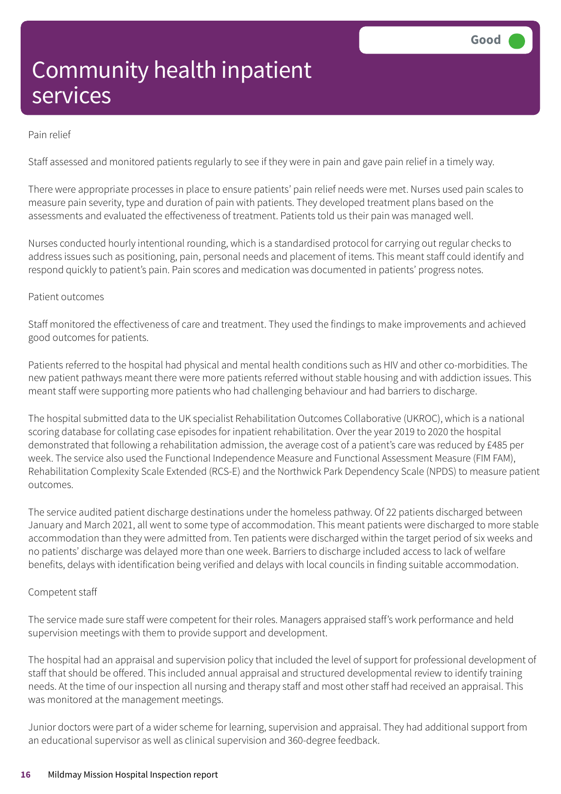#### Pain relief

Staff assessed and monitored patients regularly to see if they were in pain and gave pain relief in a timely way.

There were appropriate processes in place to ensure patients' pain relief needs were met. Nurses used pain scales to measure pain severity, type and duration of pain with patients. They developed treatment plans based on the assessments and evaluated the effectiveness of treatment. Patients told us their pain was managed well.

Nurses conducted hourly intentional rounding, which is a standardised protocol for carrying out regular checks to address issues such as positioning, pain, personal needs and placement of items. This meant staff could identify and respond quickly to patient's pain. Pain scores and medication was documented in patients' progress notes.

#### Patient outcomes

Staff monitored the effectiveness of care and treatment. They used the findings to make improvements and achieved good outcomes for patients.

Patients referred to the hospital had physical and mental health conditions such as HIV and other co-morbidities. The new patient pathways meant there were more patients referred without stable housing and with addiction issues. This meant staff were supporting more patients who had challenging behaviour and had barriers to discharge.

The hospital submitted data to the UK specialist Rehabilitation Outcomes Collaborative (UKROC), which is a national scoring database for collating case episodes for inpatient rehabilitation. Over the year 2019 to 2020 the hospital demonstrated that following a rehabilitation admission, the average cost of a patient's care was reduced by £485 per week. The service also used the Functional Independence Measure and Functional Assessment Measure (FIM FAM), Rehabilitation Complexity Scale Extended (RCS-E) and the Northwick Park Dependency Scale (NPDS) to measure patient outcomes.

The service audited patient discharge destinations under the homeless pathway. Of 22 patients discharged between January and March 2021, all went to some type of accommodation. This meant patients were discharged to more stable accommodation than they were admitted from. Ten patients were discharged within the target period of six weeks and no patients' discharge was delayed more than one week. Barriers to discharge included access to lack of welfare benefits, delays with identification being verified and delays with local councils in finding suitable accommodation.

#### Competent staff

The service made sure staff were competent for their roles. Managers appraised staff's work performance and held supervision meetings with them to provide support and development.

The hospital had an appraisal and supervision policy that included the level of support for professional development of staff that should be offered. This included annual appraisal and structured developmental review to identify training needs. At the time of our inspection all nursing and therapy staff and most other staff had received an appraisal. This was monitored at the management meetings.

Junior doctors were part of a wider scheme for learning, supervision and appraisal. They had additional support from an educational supervisor as well as clinical supervision and 360-degree feedback.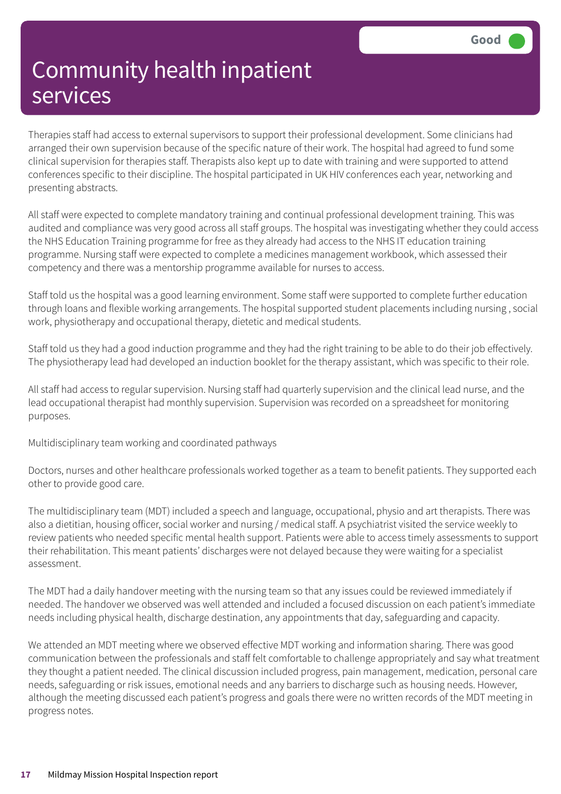Therapies staff had access to external supervisors to support their professional development. Some clinicians had arranged their own supervision because of the specific nature of their work. The hospital had agreed to fund some clinical supervision for therapies staff. Therapists also kept up to date with training and were supported to attend conferences specific to their discipline. The hospital participated in UK HIV conferences each year, networking and presenting abstracts.

All staff were expected to complete mandatory training and continual professional development training. This was audited and compliance was very good across all staff groups. The hospital was investigating whether they could access the NHS Education Training programme for free as they already had access to the NHS IT education training programme. Nursing staff were expected to complete a medicines management workbook, which assessed their competency and there was a mentorship programme available for nurses to access.

Staff told us the hospital was a good learning environment. Some staff were supported to complete further education through loans and flexible working arrangements. The hospital supported student placements including nursing , social work, physiotherapy and occupational therapy, dietetic and medical students.

Staff told us they had a good induction programme and they had the right training to be able to do their job effectively. The physiotherapy lead had developed an induction booklet for the therapy assistant, which was specific to their role.

All staff had access to regular supervision. Nursing staff had quarterly supervision and the clinical lead nurse, and the lead occupational therapist had monthly supervision. Supervision was recorded on a spreadsheet for monitoring purposes.

Multidisciplinary team working and coordinated pathways

Doctors, nurses and other healthcare professionals worked together as a team to benefit patients. They supported each other to provide good care.

The multidisciplinary team (MDT) included a speech and language, occupational, physio and art therapists. There was also a dietitian, housing officer, social worker and nursing / medical staff. A psychiatrist visited the service weekly to review patients who needed specific mental health support. Patients were able to access timely assessments to support their rehabilitation. This meant patients' discharges were not delayed because they were waiting for a specialist assessment.

The MDT had a daily handover meeting with the nursing team so that any issues could be reviewed immediately if needed. The handover we observed was well attended and included a focused discussion on each patient's immediate needs including physical health, discharge destination, any appointments that day, safeguarding and capacity.

We attended an MDT meeting where we observed effective MDT working and information sharing. There was good communication between the professionals and staff felt comfortable to challenge appropriately and say what treatment they thought a patient needed. The clinical discussion included progress, pain management, medication, personal care needs, safeguarding or risk issues, emotional needs and any barriers to discharge such as housing needs. However, although the meeting discussed each patient's progress and goals there were no written records of the MDT meeting in progress notes.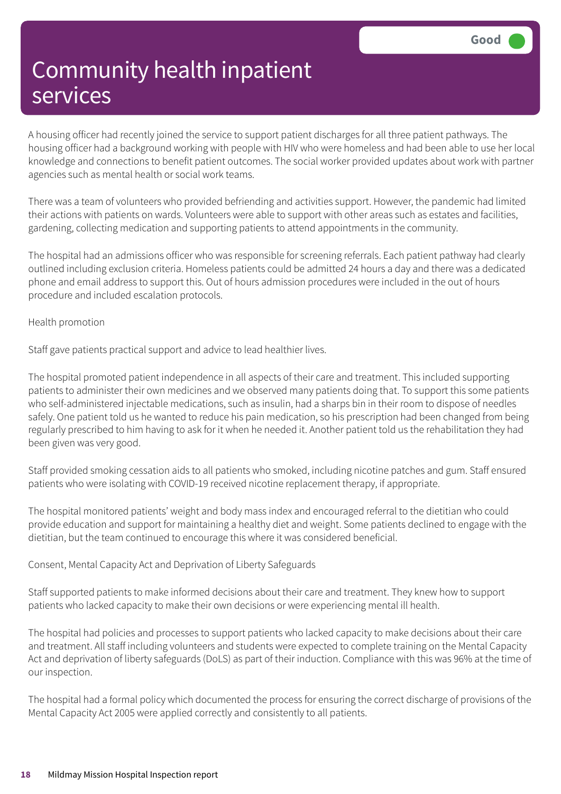A housing officer had recently joined the service to support patient discharges for all three patient pathways. The housing officer had a background working with people with HIV who were homeless and had been able to use her local knowledge and connections to benefit patient outcomes. The social worker provided updates about work with partner agencies such as mental health or social work teams.

There was a team of volunteers who provided befriending and activities support. However, the pandemic had limited their actions with patients on wards. Volunteers were able to support with other areas such as estates and facilities, gardening, collecting medication and supporting patients to attend appointments in the community.

The hospital had an admissions officer who was responsible for screening referrals. Each patient pathway had clearly outlined including exclusion criteria. Homeless patients could be admitted 24 hours a day and there was a dedicated phone and email address to support this. Out of hours admission procedures were included in the out of hours procedure and included escalation protocols.

#### Health promotion

Staff gave patients practical support and advice to lead healthier lives.

The hospital promoted patient independence in all aspects of their care and treatment. This included supporting patients to administer their own medicines and we observed many patients doing that. To support this some patients who self-administered injectable medications, such as insulin, had a sharps bin in their room to dispose of needles safely. One patient told us he wanted to reduce his pain medication, so his prescription had been changed from being regularly prescribed to him having to ask for it when he needed it. Another patient told us the rehabilitation they had been given was very good.

Staff provided smoking cessation aids to all patients who smoked, including nicotine patches and gum. Staff ensured patients who were isolating with COVID-19 received nicotine replacement therapy, if appropriate.

The hospital monitored patients' weight and body mass index and encouraged referral to the dietitian who could provide education and support for maintaining a healthy diet and weight. Some patients declined to engage with the dietitian, but the team continued to encourage this where it was considered beneficial.

Consent, Mental Capacity Act and Deprivation of Liberty Safeguards

Staff supported patients to make informed decisions about their care and treatment. They knew how to support patients who lacked capacity to make their own decisions or were experiencing mental ill health.

The hospital had policies and processes to support patients who lacked capacity to make decisions about their care and treatment. All staff including volunteers and students were expected to complete training on the Mental Capacity Act and deprivation of liberty safeguards (DoLS) as part of their induction. Compliance with this was 96% at the time of our inspection.

The hospital had a formal policy which documented the process for ensuring the correct discharge of provisions of the Mental Capacity Act 2005 were applied correctly and consistently to all patients.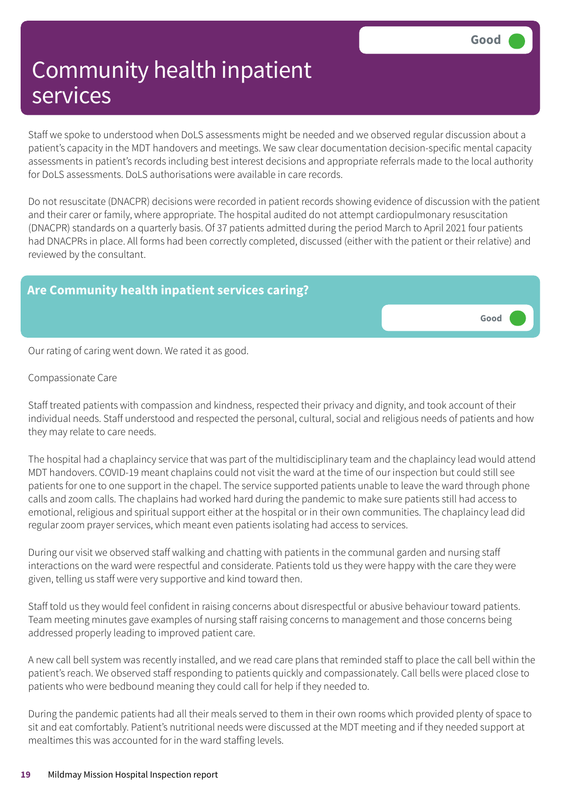**Good –––**

## Community health inpatient services

Staff we spoke to understood when DoLS assessments might be needed and we observed regular discussion about a patient's capacity in the MDT handovers and meetings. We saw clear documentation decision-specific mental capacity assessments in patient's records including best interest decisions and appropriate referrals made to the local authority for DoLS assessments. DoLS authorisations were available in care records.

Do not resuscitate (DNACPR) decisions were recorded in patient records showing evidence of discussion with the patient and their carer or family, where appropriate. The hospital audited do not attempt cardiopulmonary resuscitation (DNACPR) standards on a quarterly basis. Of 37 patients admitted during the period March to April 2021 four patients had DNACPRs in place. All forms had been correctly completed, discussed (either with the patient or their relative) and reviewed by the consultant.

### **Are Community health inpatient services caring?**

Our rating of caring went down. We rated it as good.

Compassionate Care

Staff treated patients with compassion and kindness, respected their privacy and dignity, and took account of their individual needs. Staff understood and respected the personal, cultural, social and religious needs of patients and how they may relate to care needs.

The hospital had a chaplaincy service that was part of the multidisciplinary team and the chaplaincy lead would attend MDT handovers. COVID-19 meant chaplains could not visit the ward at the time of our inspection but could still see patients for one to one support in the chapel. The service supported patients unable to leave the ward through phone calls and zoom calls. The chaplains had worked hard during the pandemic to make sure patients still had access to emotional, religious and spiritual support either at the hospital or in their own communities. The chaplaincy lead did regular zoom prayer services, which meant even patients isolating had access to services.

During our visit we observed staff walking and chatting with patients in the communal garden and nursing staff interactions on the ward were respectful and considerate. Patients told us they were happy with the care they were given, telling us staff were very supportive and kind toward then.

Staff told us they would feel confident in raising concerns about disrespectful or abusive behaviour toward patients. Team meeting minutes gave examples of nursing staff raising concerns to management and those concerns being addressed properly leading to improved patient care.

A new call bell system was recently installed, and we read care plans that reminded staff to place the call bell within the patient's reach. We observed staff responding to patients quickly and compassionately. Call bells were placed close to patients who were bedbound meaning they could call for help if they needed to.

During the pandemic patients had all their meals served to them in their own rooms which provided plenty of space to sit and eat comfortably. Patient's nutritional needs were discussed at the MDT meeting and if they needed support at mealtimes this was accounted for in the ward staffing levels.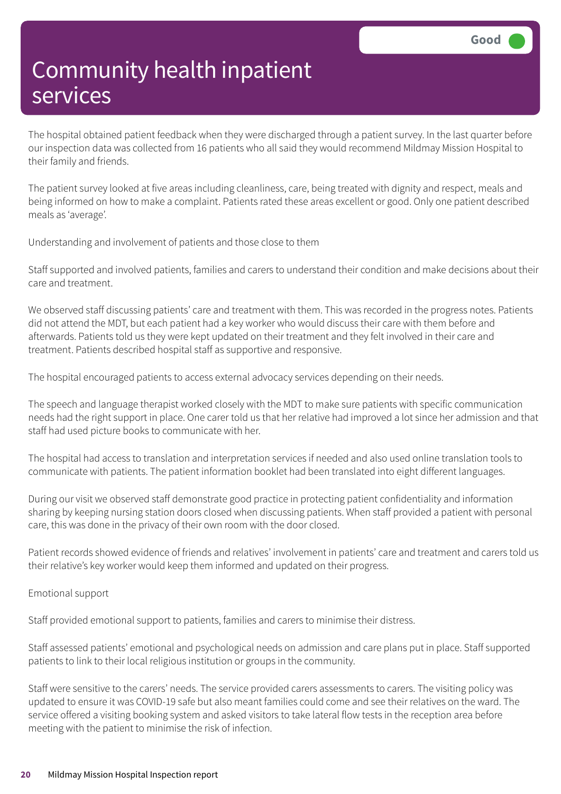The hospital obtained patient feedback when they were discharged through a patient survey. In the last quarter before our inspection data was collected from 16 patients who all said they would recommend Mildmay Mission Hospital to their family and friends.

The patient survey looked at five areas including cleanliness, care, being treated with dignity and respect, meals and being informed on how to make a complaint. Patients rated these areas excellent or good. Only one patient described meals as 'average'.

Understanding and involvement of patients and those close to them

Staff supported and involved patients, families and carers to understand their condition and make decisions about their care and treatment.

We observed staff discussing patients' care and treatment with them. This was recorded in the progress notes. Patients did not attend the MDT, but each patient had a key worker who would discuss their care with them before and afterwards. Patients told us they were kept updated on their treatment and they felt involved in their care and treatment. Patients described hospital staff as supportive and responsive.

The hospital encouraged patients to access external advocacy services depending on their needs.

The speech and language therapist worked closely with the MDT to make sure patients with specific communication needs had the right support in place. One carer told us that her relative had improved a lot since her admission and that staff had used picture books to communicate with her.

The hospital had access to translation and interpretation services if needed and also used online translation tools to communicate with patients. The patient information booklet had been translated into eight different languages.

During our visit we observed staff demonstrate good practice in protecting patient confidentiality and information sharing by keeping nursing station doors closed when discussing patients. When staff provided a patient with personal care, this was done in the privacy of their own room with the door closed.

Patient records showed evidence of friends and relatives' involvement in patients' care and treatment and carers told us their relative's key worker would keep them informed and updated on their progress.

Emotional support

Staff provided emotional support to patients, families and carers to minimise their distress.

Staff assessed patients' emotional and psychological needs on admission and care plans put in place. Staff supported patients to link to their local religious institution or groups in the community.

Staff were sensitive to the carers' needs. The service provided carers assessments to carers. The visiting policy was updated to ensure it was COVID-19 safe but also meant families could come and see their relatives on the ward. The service offered a visiting booking system and asked visitors to take lateral flow tests in the reception area before meeting with the patient to minimise the risk of infection.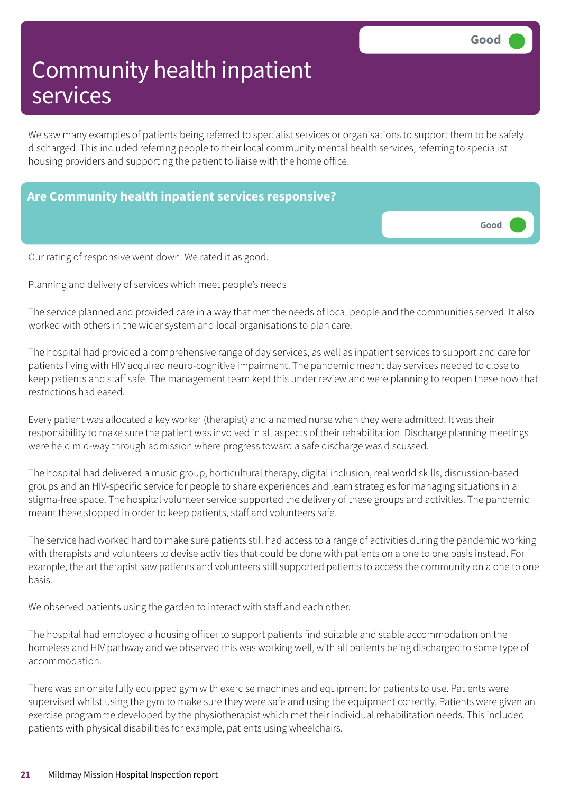**Good –––**

## Community health inpatient services

We saw many examples of patients being referred to specialist services or organisations to support them to be safely discharged. This included referring people to their local community mental health services, referring to specialist housing providers and supporting the patient to liaise with the home office.

### **Are Community health inpatient services responsive?**

Our rating of responsive went down. We rated it as good.

Planning and delivery of services which meet people's needs

The service planned and provided care in a way that met the needs of local people and the communities served. It also worked with others in the wider system and local organisations to plan care.

The hospital had provided a comprehensive range of day services, as well as inpatient services to support and care for patients living with HIV acquired neuro-cognitive impairment. The pandemic meant day services needed to close to keep patients and staff safe. The management team kept this under review and were planning to reopen these now that restrictions had eased.

Every patient was allocated a key worker (therapist) and a named nurse when they were admitted. It was their responsibility to make sure the patient was involved in all aspects of their rehabilitation. Discharge planning meetings were held mid-way through admission where progress toward a safe discharge was discussed.

The hospital had delivered a music group, horticultural therapy, digital inclusion, real world skills, discussion-based groups and an HIV-specific service for people to share experiences and learn strategies for managing situations in a stigma-free space. The hospital volunteer service supported the delivery of these groups and activities. The pandemic meant these stopped in order to keep patients, staff and volunteers safe.

The service had worked hard to make sure patients still had access to a range of activities during the pandemic working with therapists and volunteers to devise activities that could be done with patients on a one to one basis instead. For example, the art therapist saw patients and volunteers still supported patients to access the community on a one to one basis.

We observed patients using the garden to interact with staff and each other.

The hospital had employed a housing officer to support patients find suitable and stable accommodation on the homeless and HIV pathway and we observed this was working well, with all patients being discharged to some type of accommodation.

There was an onsite fully equipped gym with exercise machines and equipment for patients to use. Patients were supervised whilst using the gym to make sure they were safe and using the equipment correctly. Patients were given an exercise programme developed by the physiotherapist which met their individual rehabilitation needs. This included patients with physical disabilities for example, patients using wheelchairs.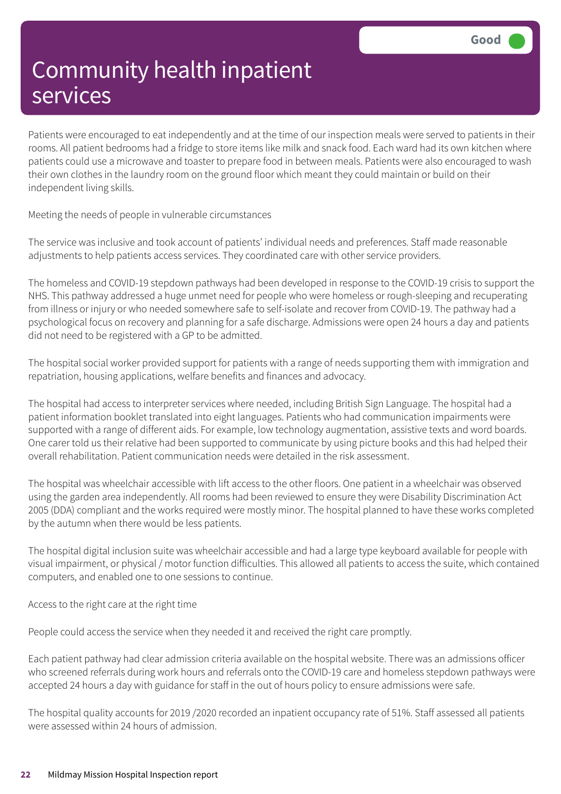Patients were encouraged to eat independently and at the time of our inspection meals were served to patients in their rooms. All patient bedrooms had a fridge to store items like milk and snack food. Each ward had its own kitchen where patients could use a microwave and toaster to prepare food in between meals. Patients were also encouraged to wash their own clothes in the laundry room on the ground floor which meant they could maintain or build on their independent living skills.

Meeting the needs of people in vulnerable circumstances

The service was inclusive and took account of patients' individual needs and preferences. Staff made reasonable adjustments to help patients access services. They coordinated care with other service providers.

The homeless and COVID-19 stepdown pathways had been developed in response to the COVID-19 crisis to support the NHS. This pathway addressed a huge unmet need for people who were homeless or rough-sleeping and recuperating from illness or injury or who needed somewhere safe to self-isolate and recover from COVID-19. The pathway had a psychological focus on recovery and planning for a safe discharge. Admissions were open 24 hours a day and patients did not need to be registered with a GP to be admitted.

The hospital social worker provided support for patients with a range of needs supporting them with immigration and repatriation, housing applications, welfare benefits and finances and advocacy.

The hospital had access to interpreter services where needed, including British Sign Language. The hospital had a patient information booklet translated into eight languages. Patients who had communication impairments were supported with a range of different aids. For example, low technology augmentation, assistive texts and word boards. One carer told us their relative had been supported to communicate by using picture books and this had helped their overall rehabilitation. Patient communication needs were detailed in the risk assessment.

The hospital was wheelchair accessible with lift access to the other floors. One patient in a wheelchair was observed using the garden area independently. All rooms had been reviewed to ensure they were Disability Discrimination Act 2005 (DDA) compliant and the works required were mostly minor. The hospital planned to have these works completed by the autumn when there would be less patients.

The hospital digital inclusion suite was wheelchair accessible and had a large type keyboard available for people with visual impairment, or physical / motor function difficulties. This allowed all patients to access the suite, which contained computers, and enabled one to one sessions to continue.

Access to the right care at the right time

People could access the service when they needed it and received the right care promptly.

Each patient pathway had clear admission criteria available on the hospital website. There was an admissions officer who screened referrals during work hours and referrals onto the COVID-19 care and homeless stepdown pathways were accepted 24 hours a day with guidance for staff in the out of hours policy to ensure admissions were safe.

The hospital quality accounts for 2019 /2020 recorded an inpatient occupancy rate of 51%. Staff assessed all patients were assessed within 24 hours of admission.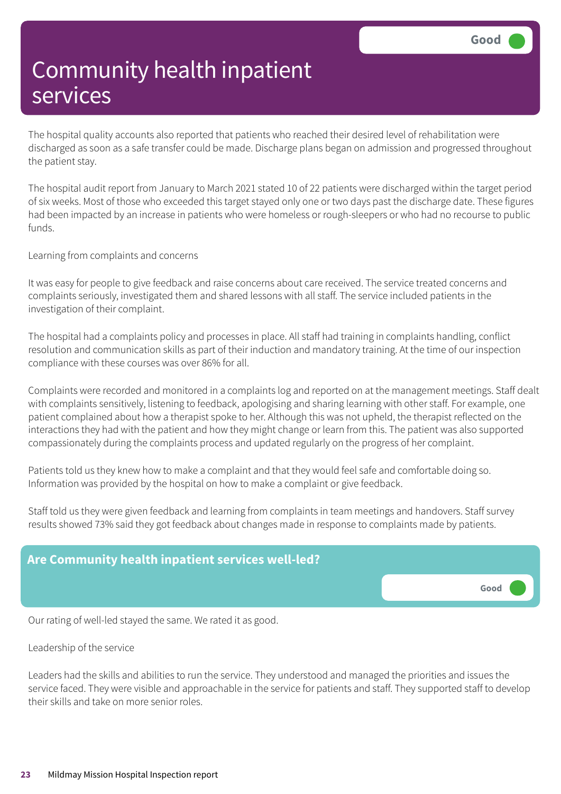The hospital quality accounts also reported that patients who reached their desired level of rehabilitation were discharged as soon as a safe transfer could be made. Discharge plans began on admission and progressed throughout the patient stay.

The hospital audit report from January to March 2021 stated 10 of 22 patients were discharged within the target period of six weeks. Most of those who exceeded this target stayed only one or two days past the discharge date. These figures had been impacted by an increase in patients who were homeless or rough-sleepers or who had no recourse to public funds.

Learning from complaints and concerns

It was easy for people to give feedback and raise concerns about care received. The service treated concerns and complaints seriously, investigated them and shared lessons with all staff. The service included patients in the investigation of their complaint.

The hospital had a complaints policy and processes in place. All staff had training in complaints handling, conflict resolution and communication skills as part of their induction and mandatory training. At the time of our inspection compliance with these courses was over 86% for all.

Complaints were recorded and monitored in a complaints log and reported on at the management meetings. Staff dealt with complaints sensitively, listening to feedback, apologising and sharing learning with other staff. For example, one patient complained about how a therapist spoke to her. Although this was not upheld, the therapist reflected on the interactions they had with the patient and how they might change or learn from this. The patient was also supported compassionately during the complaints process and updated regularly on the progress of her complaint.

Patients told us they knew how to make a complaint and that they would feel safe and comfortable doing so. Information was provided by the hospital on how to make a complaint or give feedback.

Staff told us they were given feedback and learning from complaints in team meetings and handovers. Staff survey results showed 73% said they got feedback about changes made in response to complaints made by patients.



Our rating of well-led stayed the same. We rated it as good.

#### Leadership of the service

Leaders had the skills and abilities to run the service. They understood and managed the priorities and issues the service faced. They were visible and approachable in the service for patients and staff. They supported staff to develop their skills and take on more senior roles.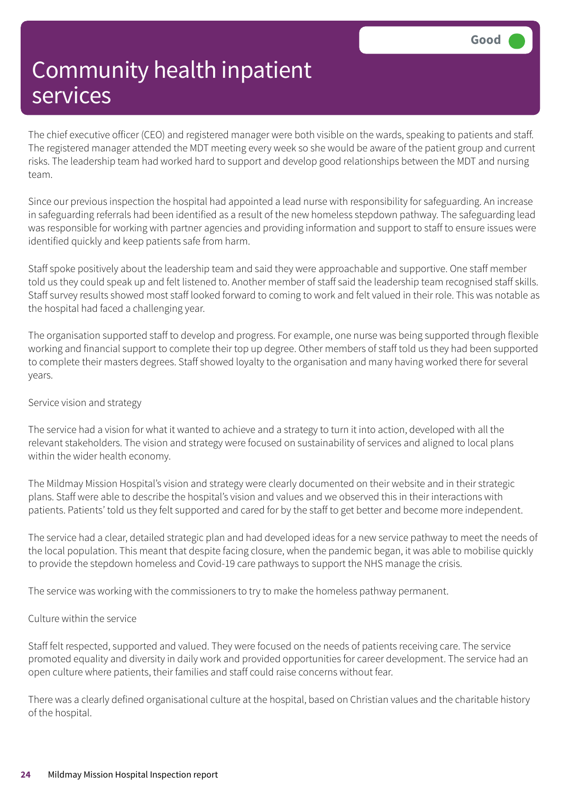The chief executive officer (CEO) and registered manager were both visible on the wards, speaking to patients and staff. The registered manager attended the MDT meeting every week so she would be aware of the patient group and current risks. The leadership team had worked hard to support and develop good relationships between the MDT and nursing team.

Since our previous inspection the hospital had appointed a lead nurse with responsibility for safeguarding. An increase in safeguarding referrals had been identified as a result of the new homeless stepdown pathway. The safeguarding lead was responsible for working with partner agencies and providing information and support to staff to ensure issues were identified quickly and keep patients safe from harm.

Staff spoke positively about the leadership team and said they were approachable and supportive. One staff member told us they could speak up and felt listened to. Another member of staff said the leadership team recognised staff skills. Staff survey results showed most staff looked forward to coming to work and felt valued in their role. This was notable as the hospital had faced a challenging year.

The organisation supported staff to develop and progress. For example, one nurse was being supported through flexible working and financial support to complete their top up degree. Other members of staff told us they had been supported to complete their masters degrees. Staff showed loyalty to the organisation and many having worked there for several years.

#### Service vision and strategy

The service had a vision for what it wanted to achieve and a strategy to turn it into action, developed with all the relevant stakeholders. The vision and strategy were focused on sustainability of services and aligned to local plans within the wider health economy.

The Mildmay Mission Hospital's vision and strategy were clearly documented on their website and in their strategic plans. Staff were able to describe the hospital's vision and values and we observed this in their interactions with patients. Patients' told us they felt supported and cared for by the staff to get better and become more independent.

The service had a clear, detailed strategic plan and had developed ideas for a new service pathway to meet the needs of the local population. This meant that despite facing closure, when the pandemic began, it was able to mobilise quickly to provide the stepdown homeless and Covid-19 care pathways to support the NHS manage the crisis.

The service was working with the commissioners to try to make the homeless pathway permanent.

#### Culture within the service

Staff felt respected, supported and valued. They were focused on the needs of patients receiving care. The service promoted equality and diversity in daily work and provided opportunities for career development. The service had an open culture where patients, their families and staff could raise concerns without fear.

There was a clearly defined organisational culture at the hospital, based on Christian values and the charitable history of the hospital.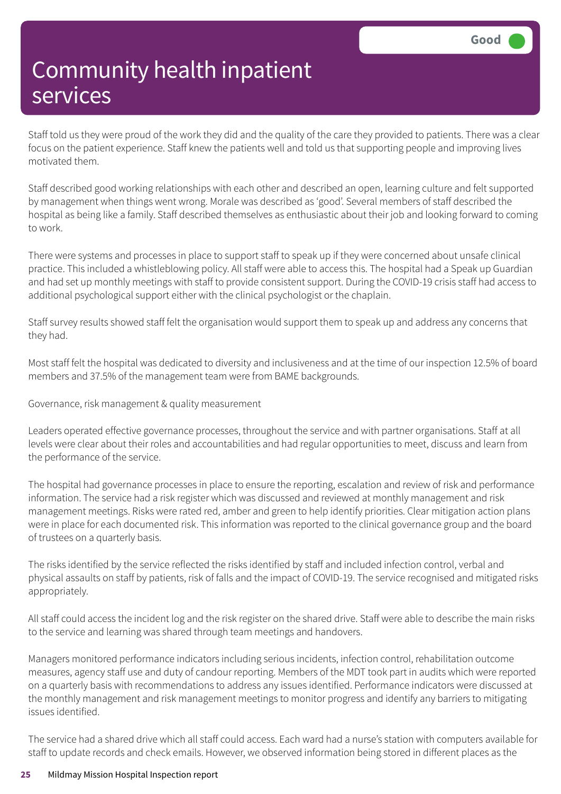Staff told us they were proud of the work they did and the quality of the care they provided to patients. There was a clear focus on the patient experience. Staff knew the patients well and told us that supporting people and improving lives motivated them.

Staff described good working relationships with each other and described an open, learning culture and felt supported by management when things went wrong. Morale was described as 'good'. Several members of staff described the hospital as being like a family. Staff described themselves as enthusiastic about their job and looking forward to coming to work.

There were systems and processes in place to support staff to speak up if they were concerned about unsafe clinical practice. This included a whistleblowing policy. All staff were able to access this. The hospital had a Speak up Guardian and had set up monthly meetings with staff to provide consistent support. During the COVID-19 crisis staff had access to additional psychological support either with the clinical psychologist or the chaplain.

Staff survey results showed staff felt the organisation would support them to speak up and address any concerns that they had.

Most staff felt the hospital was dedicated to diversity and inclusiveness and at the time of our inspection 12.5% of board members and 37.5% of the management team were from BAME backgrounds.

Governance, risk management & quality measurement

Leaders operated effective governance processes, throughout the service and with partner organisations. Staff at all levels were clear about their roles and accountabilities and had regular opportunities to meet, discuss and learn from the performance of the service.

The hospital had governance processes in place to ensure the reporting, escalation and review of risk and performance information. The service had a risk register which was discussed and reviewed at monthly management and risk management meetings. Risks were rated red, amber and green to help identify priorities. Clear mitigation action plans were in place for each documented risk. This information was reported to the clinical governance group and the board of trustees on a quarterly basis.

The risks identified by the service reflected the risks identified by staff and included infection control, verbal and physical assaults on staff by patients, risk of falls and the impact of COVID-19. The service recognised and mitigated risks appropriately.

All staff could access the incident log and the risk register on the shared drive. Staff were able to describe the main risks to the service and learning was shared through team meetings and handovers.

Managers monitored performance indicators including serious incidents, infection control, rehabilitation outcome measures, agency staff use and duty of candour reporting. Members of the MDT took part in audits which were reported on a quarterly basis with recommendations to address any issues identified. Performance indicators were discussed at the monthly management and risk management meetings to monitor progress and identify any barriers to mitigating issues identified.

The service had a shared drive which all staff could access. Each ward had a nurse's station with computers available for staff to update records and check emails. However, we observed information being stored in different places as the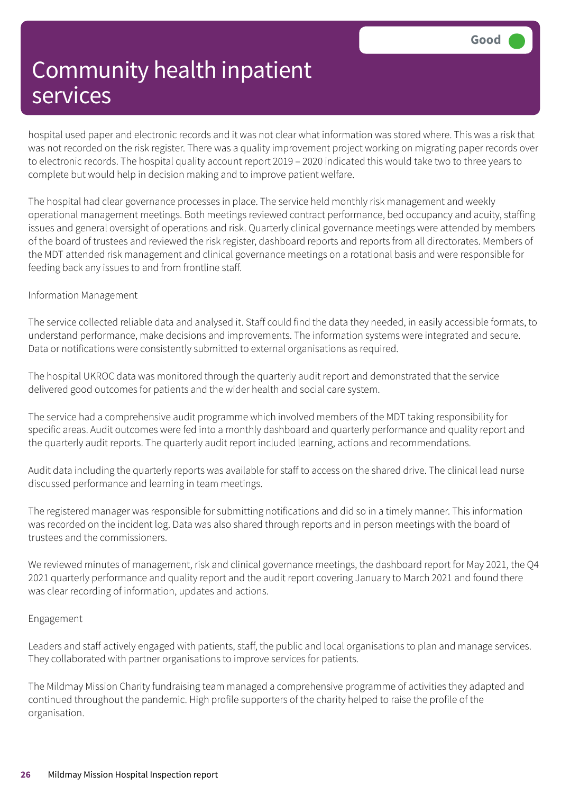hospital used paper and electronic records and it was not clear what information was stored where. This was a risk that was not recorded on the risk register. There was a quality improvement project working on migrating paper records over to electronic records. The hospital quality account report 2019 – 2020 indicated this would take two to three years to complete but would help in decision making and to improve patient welfare.

The hospital had clear governance processes in place. The service held monthly risk management and weekly operational management meetings. Both meetings reviewed contract performance, bed occupancy and acuity, staffing issues and general oversight of operations and risk. Quarterly clinical governance meetings were attended by members of the board of trustees and reviewed the risk register, dashboard reports and reports from all directorates. Members of the MDT attended risk management and clinical governance meetings on a rotational basis and were responsible for feeding back any issues to and from frontline staff.

#### Information Management

The service collected reliable data and analysed it. Staff could find the data they needed, in easily accessible formats, to understand performance, make decisions and improvements. The information systems were integrated and secure. Data or notifications were consistently submitted to external organisations as required.

The hospital UKROC data was monitored through the quarterly audit report and demonstrated that the service delivered good outcomes for patients and the wider health and social care system.

The service had a comprehensive audit programme which involved members of the MDT taking responsibility for specific areas. Audit outcomes were fed into a monthly dashboard and quarterly performance and quality report and the quarterly audit reports. The quarterly audit report included learning, actions and recommendations.

Audit data including the quarterly reports was available for staff to access on the shared drive. The clinical lead nurse discussed performance and learning in team meetings.

The registered manager was responsible for submitting notifications and did so in a timely manner. This information was recorded on the incident log. Data was also shared through reports and in person meetings with the board of trustees and the commissioners.

We reviewed minutes of management, risk and clinical governance meetings, the dashboard report for May 2021, the Q4 2021 quarterly performance and quality report and the audit report covering January to March 2021 and found there was clear recording of information, updates and actions.

#### Engagement

Leaders and staff actively engaged with patients, staff, the public and local organisations to plan and manage services. They collaborated with partner organisations to improve services for patients.

The Mildmay Mission Charity fundraising team managed a comprehensive programme of activities they adapted and continued throughout the pandemic. High profile supporters of the charity helped to raise the profile of the organisation.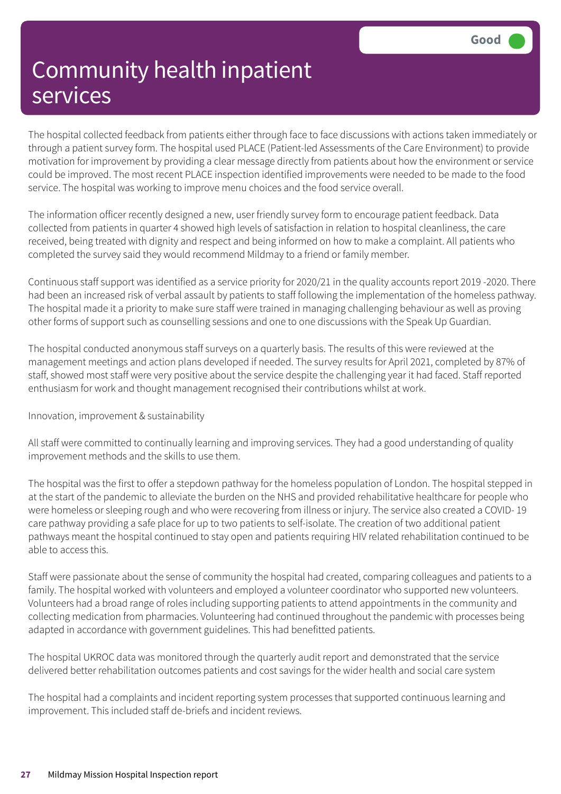The hospital collected feedback from patients either through face to face discussions with actions taken immediately or through a patient survey form. The hospital used PLACE (Patient-led Assessments of the Care Environment) to provide motivation for improvement by providing a clear message directly from patients about how the environment or service could be improved. The most recent PLACE inspection identified improvements were needed to be made to the food service. The hospital was working to improve menu choices and the food service overall.

The information officer recently designed a new, user friendly survey form to encourage patient feedback. Data collected from patients in quarter 4 showed high levels of satisfaction in relation to hospital cleanliness, the care received, being treated with dignity and respect and being informed on how to make a complaint. All patients who completed the survey said they would recommend Mildmay to a friend or family member.

Continuous staff support was identified as a service priority for 2020/21 in the quality accounts report 2019 -2020. There had been an increased risk of verbal assault by patients to staff following the implementation of the homeless pathway. The hospital made it a priority to make sure staff were trained in managing challenging behaviour as well as proving other forms of support such as counselling sessions and one to one discussions with the Speak Up Guardian.

The hospital conducted anonymous staff surveys on a quarterly basis. The results of this were reviewed at the management meetings and action plans developed if needed. The survey results for April 2021, completed by 87% of staff, showed most staff were very positive about the service despite the challenging year it had faced. Staff reported enthusiasm for work and thought management recognised their contributions whilst at work.

Innovation, improvement & sustainability

All staff were committed to continually learning and improving services. They had a good understanding of quality improvement methods and the skills to use them.

The hospital was the first to offer a stepdown pathway for the homeless population of London. The hospital stepped in at the start of the pandemic to alleviate the burden on the NHS and provided rehabilitative healthcare for people who were homeless or sleeping rough and who were recovering from illness or injury. The service also created a COVID- 19 care pathway providing a safe place for up to two patients to self-isolate. The creation of two additional patient pathways meant the hospital continued to stay open and patients requiring HIV related rehabilitation continued to be able to access this.

Staff were passionate about the sense of community the hospital had created, comparing colleagues and patients to a family. The hospital worked with volunteers and employed a volunteer coordinator who supported new volunteers. Volunteers had a broad range of roles including supporting patients to attend appointments in the community and collecting medication from pharmacies. Volunteering had continued throughout the pandemic with processes being adapted in accordance with government guidelines. This had benefitted patients.

The hospital UKROC data was monitored through the quarterly audit report and demonstrated that the service delivered better rehabilitation outcomes patients and cost savings for the wider health and social care system

The hospital had a complaints and incident reporting system processes that supported continuous learning and improvement. This included staff de-briefs and incident reviews.